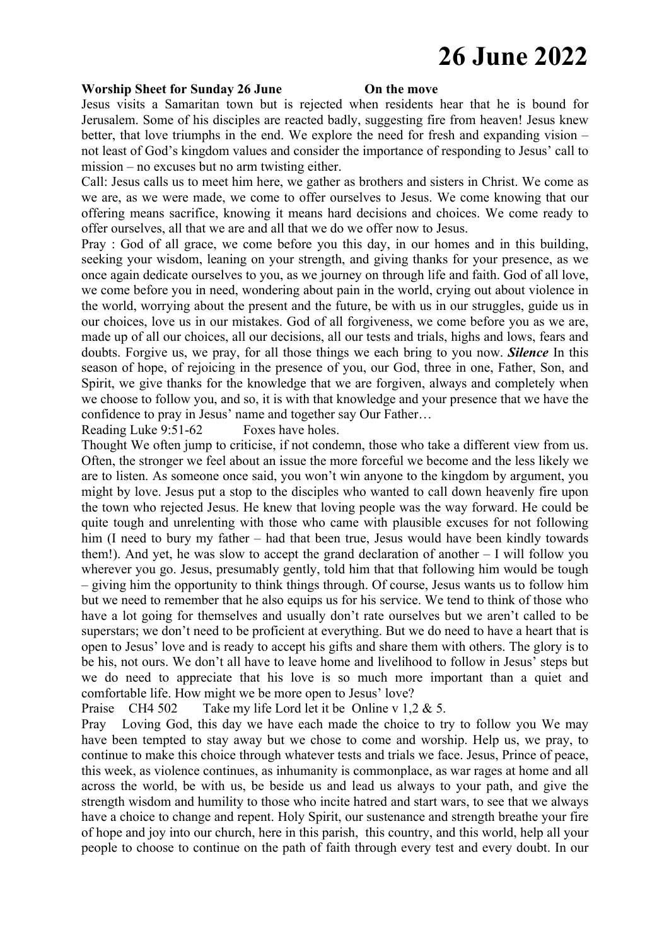## **Worship Sheet for Sunday 26 June <b>On the move**

Jesus visits a Samaritan town but is rejected when residents hear that he is bound for Jerusalem. Some of his disciples are reacted badly, suggesting fire from heaven! Jesus knew better, that love triumphs in the end. We explore the need for fresh and expanding vision – not least of God's kingdom values and consider the importance of responding to Jesus' call to mission – no excuses but no arm twisting either.

Call: Jesus calls us to meet him here, we gather as brothers and sisters in Christ. We come as we are, as we were made, we come to offer ourselves to Jesus. We come knowing that our offering means sacrifice, knowing it means hard decisions and choices. We come ready to offer ourselves, all that we are and all that we do we offer now to Jesus.

Pray : God of all grace, we come before you this day, in our homes and in this building, seeking your wisdom, leaning on your strength, and giving thanks for your presence, as we once again dedicate ourselves to you, as we journey on through life and faith. God of all love, we come before you in need, wondering about pain in the world, crying out about violence in the world, worrying about the present and the future, be with us in our struggles, guide us in our choices, love us in our mistakes. God of all forgiveness, we come before you as we are, made up of all our choices, all our decisions, all our tests and trials, highs and lows, fears and doubts. Forgive us, we pray, for all those things we each bring to you now. *Silence* In this season of hope, of rejoicing in the presence of you, our God, three in one, Father, Son, and Spirit, we give thanks for the knowledge that we are forgiven, always and completely when we choose to follow you, and so, it is with that knowledge and your presence that we have the confidence to pray in Jesus' name and together say Our Father…

Reading Luke 9:51-62 Foxes have holes.

Thought We often jump to criticise, if not condemn, those who take a different view from us. Often, the stronger we feel about an issue the more forceful we become and the less likely we are to listen. As someone once said, you won't win anyone to the kingdom by argument, you might by love. Jesus put a stop to the disciples who wanted to call down heavenly fire upon the town who rejected Jesus. He knew that loving people was the way forward. He could be quite tough and unrelenting with those who came with plausible excuses for not following him (I need to bury my father – had that been true, Jesus would have been kindly towards them!). And yet, he was slow to accept the grand declaration of another – I will follow you wherever you go. Jesus, presumably gently, told him that that following him would be tough – giving him the opportunity to think things through. Of course, Jesus wants us to follow him but we need to remember that he also equips us for his service. We tend to think of those who have a lot going for themselves and usually don't rate ourselves but we aren't called to be superstars; we don't need to be proficient at everything. But we do need to have a heart that is open to Jesus' love and is ready to accept his gifts and share them with others. The glory is to be his, not ours. We don't all have to leave home and livelihood to follow in Jesus' steps but we do need to appreciate that his love is so much more important than a quiet and comfortable life. How might we be more open to Jesus' love?

Praise CH4 502 Take my life Lord let it be Online v 1,2 & 5.

Pray Loving God, this day we have each made the choice to try to follow you We may have been tempted to stay away but we chose to come and worship. Help us, we pray, to continue to make this choice through whatever tests and trials we face. Jesus, Prince of peace, this week, as violence continues, as inhumanity is commonplace, as war rages at home and all across the world, be with us, be beside us and lead us always to your path, and give the strength wisdom and humility to those who incite hatred and start wars, to see that we always have a choice to change and repent. Holy Spirit, our sustenance and strength breathe your fire of hope and joy into our church, here in this parish, this country, and this world, help all your people to choose to continue on the path of faith through every test and every doubt. In our